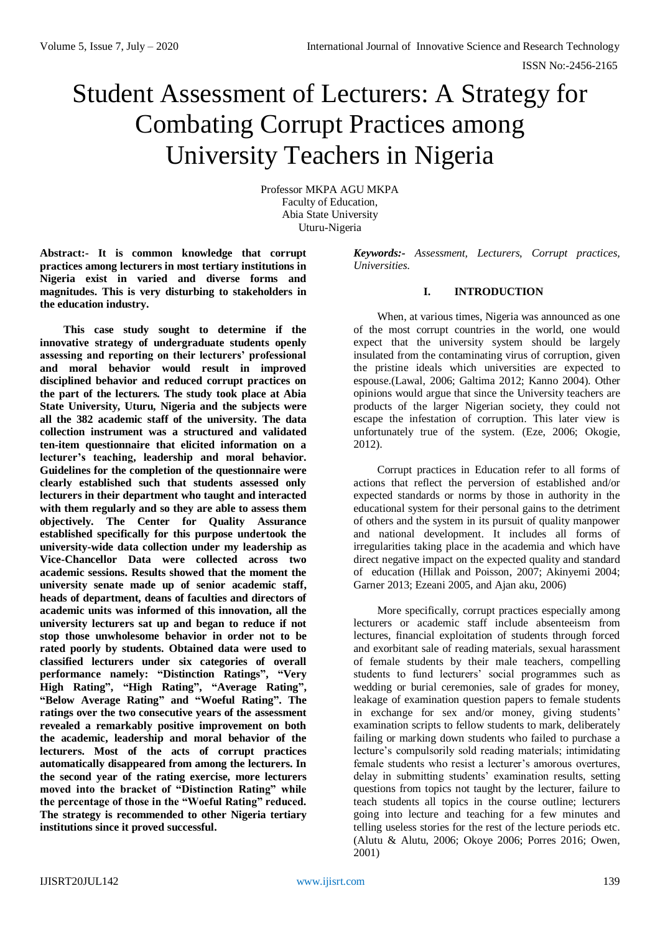# Student Assessment of Lecturers: A Strategy for Combating Corrupt Practices among University Teachers in Nigeria

Professor MKPA AGU MKPA Faculty of Education, Abia State University Uturu-Nigeria

**Abstract:- It is common knowledge that corrupt practices among lecturers in most tertiary institutions in Nigeria exist in varied and diverse forms and magnitudes. This is very disturbing to stakeholders in the education industry.**

**This case study sought to determine if the innovative strategy of undergraduate students openly assessing and reporting on their lecturers' professional and moral behavior would result in improved disciplined behavior and reduced corrupt practices on the part of the lecturers. The study took place at Abia State University, Uturu, Nigeria and the subjects were all the 382 academic staff of the university. The data collection instrument was a structured and validated ten-item questionnaire that elicited information on a lecturer's teaching, leadership and moral behavior. Guidelines for the completion of the questionnaire were clearly established such that students assessed only lecturers in their department who taught and interacted with them regularly and so they are able to assess them objectively. The Center for Quality Assurance established specifically for this purpose undertook the university-wide data collection under my leadership as Vice-Chancellor Data were collected across two academic sessions. Results showed that the moment the university senate made up of senior academic staff, heads of department, deans of faculties and directors of academic units was informed of this innovation, all the university lecturers sat up and began to reduce if not stop those unwholesome behavior in order not to be rated poorly by students. Obtained data were used to classified lecturers under six categories of overall performance namely: "Distinction Ratings", "Very High Rating", "High Rating", "Average Rating", "Below Average Rating" and "Woeful Rating". The ratings over the two consecutive years of the assessment revealed a remarkably positive improvement on both the academic, leadership and moral behavior of the lecturers. Most of the acts of corrupt practices automatically disappeared from among the lecturers. In the second year of the rating exercise, more lecturers moved into the bracket of "Distinction Rating" while the percentage of those in the "Woeful Rating" reduced. The strategy is recommended to other Nigeria tertiary institutions since it proved successful.**

*Keywords:- Assessment, Lecturers, Corrupt practices, Universities.*

# **I. INTRODUCTION**

When, at various times, Nigeria was announced as one of the most corrupt countries in the world, one would expect that the university system should be largely insulated from the contaminating virus of corruption, given the pristine ideals which universities are expected to espouse.(Lawal, 2006; Galtima 2012; Kanno 2004). Other opinions would argue that since the University teachers are products of the larger Nigerian society, they could not escape the infestation of corruption. This later view is unfortunately true of the system. (Eze, 2006; Okogie, 2012).

Corrupt practices in Education refer to all forms of actions that reflect the perversion of established and/or expected standards or norms by those in authority in the educational system for their personal gains to the detriment of others and the system in its pursuit of quality manpower and national development. It includes all forms of irregularities taking place in the academia and which have direct negative impact on the expected quality and standard of education (Hillak and Poisson, 2007; Akinyemi 2004; Garner 2013; Ezeani 2005, and Ajan aku, 2006)

More specifically, corrupt practices especially among lecturers or academic staff include absenteeism from lectures, financial exploitation of students through forced and exorbitant sale of reading materials, sexual harassment of female students by their male teachers, compelling students to fund lecturers' social programmes such as wedding or burial ceremonies, sale of grades for money, leakage of examination question papers to female students in exchange for sex and/or money, giving students' examination scripts to fellow students to mark, deliberately failing or marking down students who failed to purchase a lecture's compulsorily sold reading materials; intimidating female students who resist a lecturer's amorous overtures, delay in submitting students' examination results, setting questions from topics not taught by the lecturer, failure to teach students all topics in the course outline; lecturers going into lecture and teaching for a few minutes and telling useless stories for the rest of the lecture periods etc. (Alutu & Alutu, 2006; Okoye 2006; Porres 2016; Owen, 2001)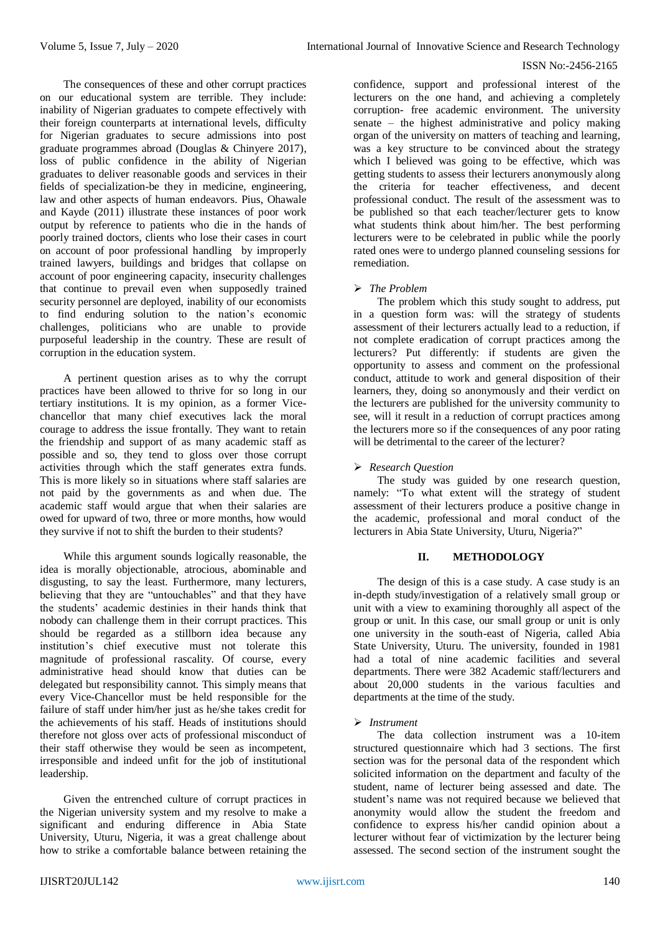The consequences of these and other corrupt practices on our educational system are terrible. They include: inability of Nigerian graduates to compete effectively with their foreign counterparts at international levels, difficulty for Nigerian graduates to secure admissions into post graduate programmes abroad (Douglas & Chinyere 2017), loss of public confidence in the ability of Nigerian graduates to deliver reasonable goods and services in their fields of specialization-be they in medicine, engineering, law and other aspects of human endeavors. Pius, Ohawale and Kayde (2011) illustrate these instances of poor work output by reference to patients who die in the hands of poorly trained doctors, clients who lose their cases in court on account of poor professional handling by improperly trained lawyers, buildings and bridges that collapse on account of poor engineering capacity, insecurity challenges that continue to prevail even when supposedly trained security personnel are deployed, inability of our economists to find enduring solution to the nation's economic challenges, politicians who are unable to provide purposeful leadership in the country. These are result of corruption in the education system.

A pertinent question arises as to why the corrupt practices have been allowed to thrive for so long in our tertiary institutions. It is my opinion, as a former Vicechancellor that many chief executives lack the moral courage to address the issue frontally. They want to retain the friendship and support of as many academic staff as possible and so, they tend to gloss over those corrupt activities through which the staff generates extra funds. This is more likely so in situations where staff salaries are not paid by the governments as and when due. The academic staff would argue that when their salaries are owed for upward of two, three or more months, how would they survive if not to shift the burden to their students?

While this argument sounds logically reasonable, the idea is morally objectionable, atrocious, abominable and disgusting, to say the least. Furthermore, many lecturers, believing that they are "untouchables" and that they have the students' academic destinies in their hands think that nobody can challenge them in their corrupt practices. This should be regarded as a stillborn idea because any institution's chief executive must not tolerate this magnitude of professional rascality. Of course, every administrative head should know that duties can be delegated but responsibility cannot. This simply means that every Vice-Chancellor must be held responsible for the failure of staff under him/her just as he/she takes credit for the achievements of his staff. Heads of institutions should therefore not gloss over acts of professional misconduct of their staff otherwise they would be seen as incompetent, irresponsible and indeed unfit for the job of institutional leadership.

Given the entrenched culture of corrupt practices in the Nigerian university system and my resolve to make a significant and enduring difference in Abia State University, Uturu, Nigeria, it was a great challenge about how to strike a comfortable balance between retaining the

confidence, support and professional interest of the lecturers on the one hand, and achieving a completely corruption- free academic environment. The university senate – the highest administrative and policy making organ of the university on matters of teaching and learning, was a key structure to be convinced about the strategy which I believed was going to be effective, which was getting students to assess their lecturers anonymously along the criteria for teacher effectiveness, and decent professional conduct. The result of the assessment was to be published so that each teacher/lecturer gets to know what students think about him/her. The best performing lecturers were to be celebrated in public while the poorly rated ones were to undergo planned counseling sessions for remediation.

# *The Problem*

The problem which this study sought to address, put in a question form was: will the strategy of students assessment of their lecturers actually lead to a reduction, if not complete eradication of corrupt practices among the lecturers? Put differently: if students are given the opportunity to assess and comment on the professional conduct, attitude to work and general disposition of their learners, they, doing so anonymously and their verdict on the lecturers are published for the university community to see, will it result in a reduction of corrupt practices among the lecturers more so if the consequences of any poor rating will be detrimental to the career of the lecturer?

# *Research Question*

The study was guided by one research question, namely: "To what extent will the strategy of student assessment of their lecturers produce a positive change in the academic, professional and moral conduct of the lecturers in Abia State University, Uturu, Nigeria?"

## **II. METHODOLOGY**

The design of this is a case study. A case study is an in-depth study/investigation of a relatively small group or unit with a view to examining thoroughly all aspect of the group or unit. In this case, our small group or unit is only one university in the south-east of Nigeria, called Abia State University, Uturu. The university, founded in 1981 had a total of nine academic facilities and several departments. There were 382 Academic staff/lecturers and about 20,000 students in the various faculties and departments at the time of the study.

## *Instrument*

The data collection instrument was a 10-item structured questionnaire which had 3 sections. The first section was for the personal data of the respondent which solicited information on the department and faculty of the student, name of lecturer being assessed and date. The student's name was not required because we believed that anonymity would allow the student the freedom and confidence to express his/her candid opinion about a lecturer without fear of victimization by the lecturer being assessed. The second section of the instrument sought the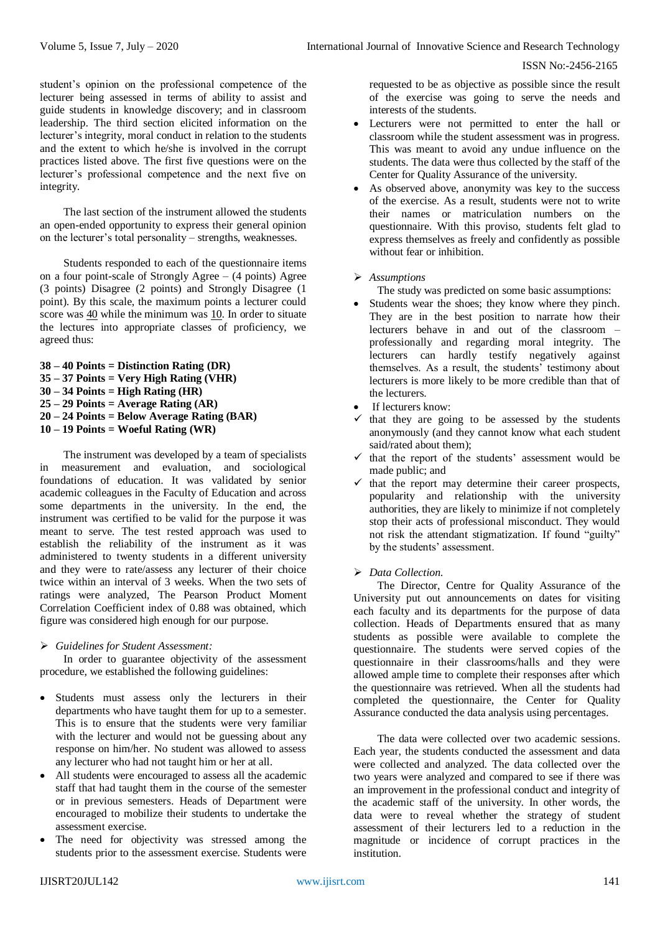student's opinion on the professional competence of the lecturer being assessed in terms of ability to assist and guide students in knowledge discovery; and in classroom leadership. The third section elicited information on the lecturer's integrity, moral conduct in relation to the students and the extent to which he/she is involved in the corrupt practices listed above. The first five questions were on the lecturer's professional competence and the next five on integrity.

The last section of the instrument allowed the students an open-ended opportunity to express their general opinion on the lecturer's total personality – strengths, weaknesses.

Students responded to each of the questionnaire items on a four point-scale of Strongly Agree – (4 points) Agree (3 points) Disagree (2 points) and Strongly Disagree (1 point). By this scale, the maximum points a lecturer could score was 40 while the minimum was 10. In order to situate the lectures into appropriate classes of proficiency, we agreed thus:

```
38 – 40 Points = Distinction Rating (DR)
35 – 37 Points = Very High Rating (VHR)
30 – 34 Points = High Rating (HR)
25 – 29 Points = Average Rating (AR)
20 – 24 Points = Below Average Rating (BAR)
10 – 19 Points = Woeful Rating (WR)
```
The instrument was developed by a team of specialists in measurement and evaluation, and sociological foundations of education. It was validated by senior academic colleagues in the Faculty of Education and across some departments in the university. In the end, the instrument was certified to be valid for the purpose it was meant to serve. The test rested approach was used to establish the reliability of the instrument as it was administered to twenty students in a different university and they were to rate/assess any lecturer of their choice twice within an interval of 3 weeks. When the two sets of ratings were analyzed, The Pearson Product Moment Correlation Coefficient index of 0.88 was obtained, which figure was considered high enough for our purpose.

## *Guidelines for Student Assessment:*

In order to guarantee objectivity of the assessment procedure, we established the following guidelines:

- Students must assess only the lecturers in their departments who have taught them for up to a semester. This is to ensure that the students were very familiar with the lecturer and would not be guessing about any response on him/her. No student was allowed to assess any lecturer who had not taught him or her at all.
- All students were encouraged to assess all the academic staff that had taught them in the course of the semester or in previous semesters. Heads of Department were encouraged to mobilize their students to undertake the assessment exercise.
- The need for objectivity was stressed among the students prior to the assessment exercise. Students were

requested to be as objective as possible since the result of the exercise was going to serve the needs and interests of the students.

- Lecturers were not permitted to enter the hall or classroom while the student assessment was in progress. This was meant to avoid any undue influence on the students. The data were thus collected by the staff of the Center for Quality Assurance of the university.
- As observed above, anonymity was key to the success of the exercise. As a result, students were not to write their names or matriculation numbers on the questionnaire. With this proviso, students felt glad to express themselves as freely and confidently as possible without fear or inhibition.

## *Assumptions*

The study was predicted on some basic assumptions:

- Students wear the shoes; they know where they pinch. They are in the best position to narrate how their lecturers behave in and out of the classroom – professionally and regarding moral integrity. The lecturers can hardly testify negatively against themselves. As a result, the students' testimony about lecturers is more likely to be more credible than that of the lecturers.
- If lecturers know:
- $\checkmark$  that they are going to be assessed by the students anonymously (and they cannot know what each student said/rated about them);
- $\checkmark$  that the report of the students' assessment would be made public; and
- $\checkmark$  that the report may determine their career prospects, popularity and relationship with the university authorities, they are likely to minimize if not completely stop their acts of professional misconduct. They would not risk the attendant stigmatization. If found "guilty" by the students' assessment.

## *Data Collection.*

The Director, Centre for Quality Assurance of the University put out announcements on dates for visiting each faculty and its departments for the purpose of data collection. Heads of Departments ensured that as many students as possible were available to complete the questionnaire. The students were served copies of the questionnaire in their classrooms/halls and they were allowed ample time to complete their responses after which the questionnaire was retrieved. When all the students had completed the questionnaire, the Center for Quality Assurance conducted the data analysis using percentages.

The data were collected over two academic sessions. Each year, the students conducted the assessment and data were collected and analyzed. The data collected over the two years were analyzed and compared to see if there was an improvement in the professional conduct and integrity of the academic staff of the university. In other words, the data were to reveal whether the strategy of student assessment of their lecturers led to a reduction in the magnitude or incidence of corrupt practices in the institution.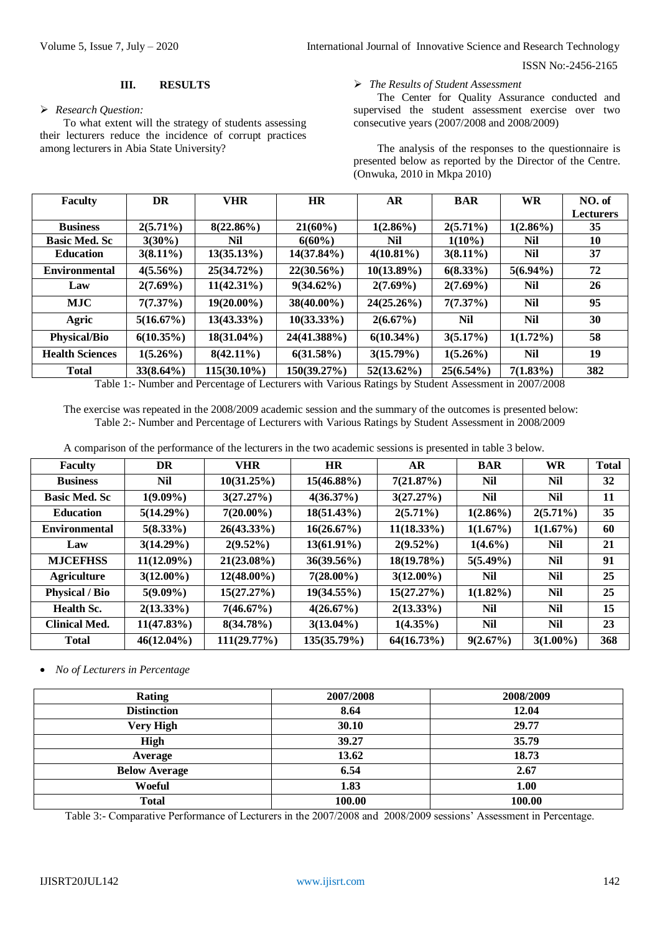#### **III. RESULTS**

#### *Research Question:*

To what extent will the strategy of students assessing their lecturers reduce the incidence of corrupt practices among lecturers in Abia State University?

#### *The Results of Student Assessment*

The Center for Quality Assurance conducted and supervised the student assessment exercise over two consecutive years (2007/2008 and 2008/2009)

The analysis of the responses to the questionnaire is presented below as reported by the Director of the Centre. (Onwuka, 2010 in Mkpa 2010)

| <b>Faculty</b>         | DR           | <b>VHR</b>     | <b>HR</b>     | <b>AR</b>     | <b>BAR</b>   | <b>WR</b>   | NO. of           |
|------------------------|--------------|----------------|---------------|---------------|--------------|-------------|------------------|
|                        |              |                |               |               |              |             | <b>Lecturers</b> |
| <b>Business</b>        | $2(5.71\%)$  | $8(22.86\%)$   | $21(60\%)$    | $1(2.86\%)$   | $2(5.71\%)$  | $1(2.86\%)$ | 35               |
| <b>Basic Med. Sc</b>   | $3(30\%)$    | Nil            | $6(60\%)$     | Nil           | $1(10\%)$    | Nil         | 10               |
| <b>Education</b>       | $3(8.11\%)$  | 13(35.13%)     | $14(37.84\%)$ | $4(10.81\%)$  | $3(8.11\%)$  | <b>Nil</b>  | 37               |
| <b>Environmental</b>   | $4(5.56\%)$  | $25(34.72\%)$  | $22(30.56\%)$ | $10(13.89\%)$ | $6(8.33\%)$  | $5(6.94\%)$ | 72               |
| Law                    | $2(7.69\%)$  | $11(42.31\%)$  | $9(34.62\%)$  | $2(7.69\%)$   | $2(7.69\%)$  | Nil         | 26               |
| <b>MJC</b>             | 7(7.37%)     | $19(20.00\%)$  | $38(40.00\%)$ | $24(25.26\%)$ | 7(7.37%)     | Nil         | 95               |
| Agric                  | 5(16.67%)    | $13(43.33\%)$  | $10(33.33\%)$ | $2(6.67\%)$   | <b>Nil</b>   | <b>Nil</b>  | 30               |
| <b>Physical/Bio</b>    | $6(10.35\%)$ | $18(31.04\%)$  | 24(41.388%)   | $6(10.34\%)$  | 3(5.17%)     | $1(1.72\%)$ | 58               |
| <b>Health Sciences</b> | $1(5.26\%)$  | $8(42.11\%)$   | 6(31.58%)     | 3(15.79%)     | $1(5.26\%)$  | <b>Nil</b>  | 19               |
| <b>Total</b>           | $33(8.64\%)$ | $115(30.10\%)$ | 150(39.27%)   | $52(13.62\%)$ | $25(6.54\%)$ | $7(1.83\%)$ | 382              |

Table 1:- Number and Percentage of Lecturers with Various Ratings by Student Assessment in 2007/2008

The exercise was repeated in the 2008/2009 academic session and the summary of the outcomes is presented below: Table 2:- Number and Percentage of Lecturers with Various Ratings by Student Assessment in 2008/2009

A comparison of the performance of the lecturers in the two academic sessions is presented in table 3 below.

| Faculty               | DR            | <b>VHR</b>    | <b>HR</b>     | AR            | <b>BAR</b>  | <b>WR</b>   | <b>Total</b> |
|-----------------------|---------------|---------------|---------------|---------------|-------------|-------------|--------------|
| <b>Business</b>       | Nil           | 10(31.25%)    | $15(46.88\%)$ | 7(21.87%)     | <b>Nil</b>  | <b>Nil</b>  | 32           |
| <b>Basic Med. Sc</b>  | $1(9.09\%)$   | 3(27.27%)     | $4(36.37\%)$  | 3(27.27%)     | <b>Nil</b>  | <b>Nil</b>  | 11           |
| <b>Education</b>      | 5(14.29%)     | $7(20.00\%)$  | $18(51.43\%)$ | $2(5.71\%)$   | $1(2.86\%)$ | $2(5.71\%)$ | 35           |
| <b>Environmental</b>  | $5(8.33\%)$   | $26(43.33\%)$ | 16(26.67%)    | $11(18.33\%)$ | 1(1.67%)    | 1(1.67%)    | 60           |
| Law                   | 3(14.29%)     | $2(9.52\%)$   | $13(61.91\%)$ | $2(9.52\%)$   | $1(4.6\%)$  | <b>Nil</b>  | 21           |
| <b>MJCEFHSS</b>       | $11(12.09\%)$ | $21(23.08\%)$ | $36(39.56\%)$ | $18(19.78\%)$ | $5(5.49\%)$ | <b>Nil</b>  | 91           |
| <b>Agriculture</b>    | $3(12.00\%)$  | $12(48.00\%)$ | $7(28.00\%)$  | $3(12.00\%)$  | <b>Nil</b>  | <b>Nil</b>  | 25           |
| <b>Physical / Bio</b> | $5(9.09\%)$   | 15(27.27%)    | $19(34.55\%)$ | 15(27.27%)    | $1(1.82\%)$ | <b>Nil</b>  | 25           |
| <b>Health Sc.</b>     | $2(13.33\%)$  | 7(46.67%)     | 4(26.67%)     | $2(13.33\%)$  | <b>Nil</b>  | <b>Nil</b>  | 15           |
| <b>Clinical Med.</b>  | $11(47.83\%)$ | 8(34.78%)     | $3(13.04\%)$  | $1(4.35\%)$   | <b>Nil</b>  | <b>Nil</b>  | 23           |
| <b>Total</b>          | $46(12.04\%)$ | 111(29.77%)   | 135(35.79%)   | 64(16.73%)    | 9(2.67%)    | $3(1.00\%)$ | 368          |

*No of Lecturers in Percentage*

| Rating               | 2007/2008 | 2008/2009 |
|----------------------|-----------|-----------|
| <b>Distinction</b>   | 8.64      | 12.04     |
| <b>Very High</b>     | 30.10     | 29.77     |
| High                 | 39.27     | 35.79     |
| Average              | 13.62     | 18.73     |
| <b>Below Average</b> | 6.54      | 2.67      |
| Woeful               | 1.83      | 1.00      |
| <b>Total</b>         | 100.00    | 100.00    |

Table 3:- Comparative Performance of Lecturers in the 2007/2008 and 2008/2009 sessions' Assessment in Percentage.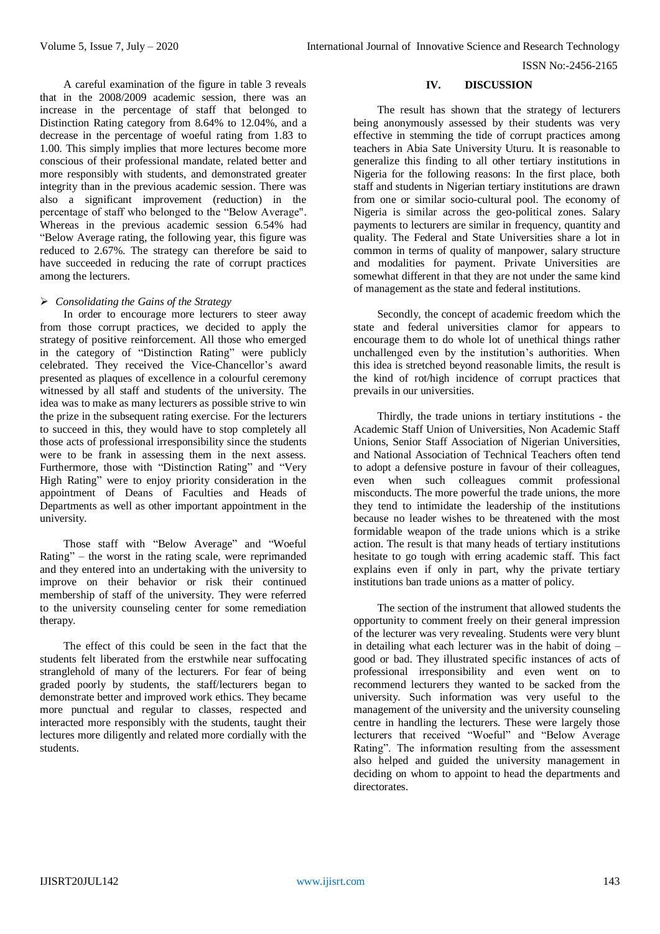A careful examination of the figure in table 3 reveals that in the 2008/2009 academic session, there was an increase in the percentage of staff that belonged to Distinction Rating category from 8.64% to 12.04%, and a decrease in the percentage of woeful rating from 1.83 to 1.00. This simply implies that more lectures become more conscious of their professional mandate, related better and more responsibly with students, and demonstrated greater integrity than in the previous academic session. There was also a significant improvement (reduction) in the percentage of staff who belonged to the "Below Average". Whereas in the previous academic session 6.54% had "Below Average rating, the following year, this figure was reduced to 2.67%. The strategy can therefore be said to have succeeded in reducing the rate of corrupt practices among the lecturers.

## *Consolidating the Gains of the Strategy*

In order to encourage more lecturers to steer away from those corrupt practices, we decided to apply the strategy of positive reinforcement. All those who emerged in the category of "Distinction Rating" were publicly celebrated. They received the Vice-Chancellor's award presented as plaques of excellence in a colourful ceremony witnessed by all staff and students of the university. The idea was to make as many lecturers as possible strive to win the prize in the subsequent rating exercise. For the lecturers to succeed in this, they would have to stop completely all those acts of professional irresponsibility since the students were to be frank in assessing them in the next assess. Furthermore, those with "Distinction Rating" and "Very High Rating" were to enjoy priority consideration in the appointment of Deans of Faculties and Heads of Departments as well as other important appointment in the university.

Those staff with "Below Average" and "Woeful Rating" – the worst in the rating scale, were reprimanded and they entered into an undertaking with the university to improve on their behavior or risk their continued membership of staff of the university. They were referred to the university counseling center for some remediation therapy.

The effect of this could be seen in the fact that the students felt liberated from the erstwhile near suffocating stranglehold of many of the lecturers. For fear of being graded poorly by students, the staff/lecturers began to demonstrate better and improved work ethics. They became more punctual and regular to classes, respected and interacted more responsibly with the students, taught their lectures more diligently and related more cordially with the students.

#### **IV. DISCUSSION**

The result has shown that the strategy of lecturers being anonymously assessed by their students was very effective in stemming the tide of corrupt practices among teachers in Abia Sate University Uturu. It is reasonable to generalize this finding to all other tertiary institutions in Nigeria for the following reasons: In the first place, both staff and students in Nigerian tertiary institutions are drawn from one or similar socio-cultural pool. The economy of Nigeria is similar across the geo-political zones. Salary payments to lecturers are similar in frequency, quantity and quality. The Federal and State Universities share a lot in common in terms of quality of manpower, salary structure and modalities for payment. Private Universities are somewhat different in that they are not under the same kind of management as the state and federal institutions.

Secondly, the concept of academic freedom which the state and federal universities clamor for appears to encourage them to do whole lot of unethical things rather unchallenged even by the institution's authorities. When this idea is stretched beyond reasonable limits, the result is the kind of rot/high incidence of corrupt practices that prevails in our universities.

Thirdly, the trade unions in tertiary institutions - the Academic Staff Union of Universities, Non Academic Staff Unions, Senior Staff Association of Nigerian Universities, and National Association of Technical Teachers often tend to adopt a defensive posture in favour of their colleagues, even when such colleagues commit professional misconducts. The more powerful the trade unions, the more they tend to intimidate the leadership of the institutions because no leader wishes to be threatened with the most formidable weapon of the trade unions which is a strike action. The result is that many heads of tertiary institutions hesitate to go tough with erring academic staff. This fact explains even if only in part, why the private tertiary institutions ban trade unions as a matter of policy.

The section of the instrument that allowed students the opportunity to comment freely on their general impression of the lecturer was very revealing. Students were very blunt in detailing what each lecturer was in the habit of doing – good or bad. They illustrated specific instances of acts of professional irresponsibility and even went on to recommend lecturers they wanted to be sacked from the university. Such information was very useful to the management of the university and the university counseling centre in handling the lecturers. These were largely those lecturers that received "Woeful" and "Below Average Rating". The information resulting from the assessment also helped and guided the university management in deciding on whom to appoint to head the departments and directorates.